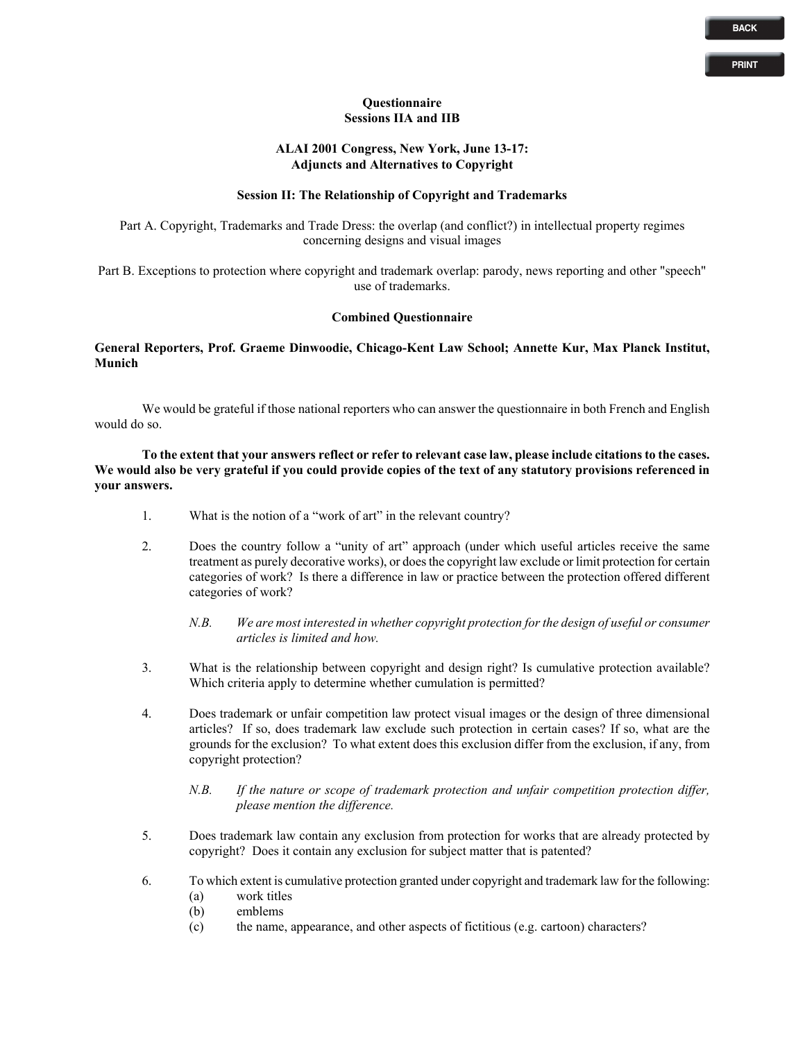# **PRINT**

#### **Questionnaire Sessions IIA and IIB**

### **ALAI 2001 Congress, New York, June 13-17: Adjuncts and Alternatives to Copyright**

# **Session II: The Relationship of Copyright and Trademarks**

Part A. Copyright, Trademarks and Trade Dress: the overlap (and conflict?) in intellectual property regimes concerning designs and visual images

Part B. Exceptions to protection where copyright and trademark overlap: parody, news reporting and other "speech" use of trademarks.

# **Combined Questionnaire**

**General Reporters, Prof. Graeme Dinwoodie, Chicago-Kent Law School; Annette Kur, Max Planck Institut, Munich**

We would be grateful if those national reporters who can answer the questionnaire in both French and English would do so.

**To the extent that your answers reflect or refer to relevant case law, please include citations to the cases. We would also be very grateful if you could provide copies of the text of any statutory provisions referenced in your answers.** 

- 1. What is the notion of a "work of art" in the relevant country?
- 2. Does the country follow a "unity of art" approach (under which useful articles receive the same treatment as purely decorative works), or does the copyright law exclude or limit protection for certain categories of work? Is there a difference in law or practice between the protection offered different categories of work?
	- *N.B. We are most interested in whether copyright protection for the design of useful or consumer articles is limited and how.*
- 3. What is the relationship between copyright and design right? Is cumulative protection available? Which criteria apply to determine whether cumulation is permitted?
- 4. Does trademark or unfair competition law protect visual images or the design of three dimensional articles? If so, does trademark law exclude such protection in certain cases? If so, what are the grounds for the exclusion? To what extent does this exclusion differ from the exclusion, if any, from copyright protection?
	- *N.B. If the nature or scope of trademark protection and unfair competition protection differ, please mention the difference.*
- 5. Does trademark law contain any exclusion from protection for works that are already protected by copyright? Does it contain any exclusion for subject matter that is patented?
- 6. To which extent is cumulative protection granted under copyright and trademark law for the following:
	- (a) work titles
	- (b) emblems
	- (c) the name, appearance, and other aspects of fictitious (e.g. cartoon) characters?